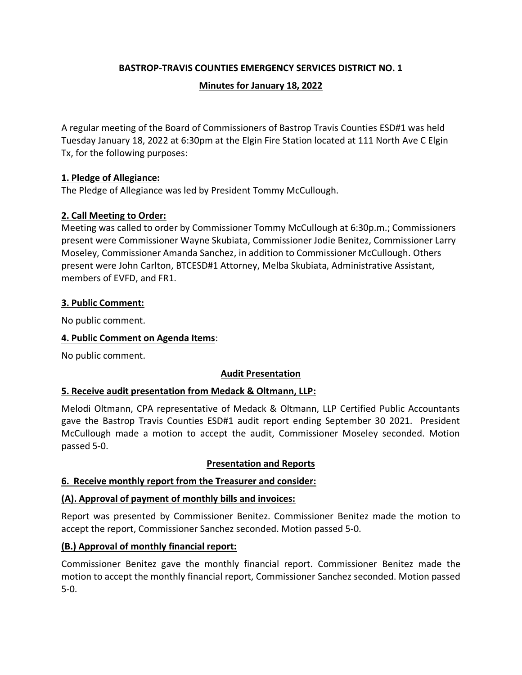## **BASTROP-TRAVIS COUNTIES EMERGENCY SERVICES DISTRICT NO. 1**

#### **Minutes for January 18, 2022**

A regular meeting of the Board of Commissioners of Bastrop Travis Counties ESD#1 was held Tuesday January 18, 2022 at 6:30pm at the Elgin Fire Station located at 111 North Ave C Elgin Tx, for the following purposes:

#### **1. Pledge of Allegiance:**

The Pledge of Allegiance was led by President Tommy McCullough.

## **2. Call Meeting to Order:**

Meeting was called to order by Commissioner Tommy McCullough at 6:30p.m.; Commissioners present were Commissioner Wayne Skubiata, Commissioner Jodie Benitez, Commissioner Larry Moseley, Commissioner Amanda Sanchez, in addition to Commissioner McCullough. Others present were John Carlton, BTCESD#1 Attorney, Melba Skubiata, Administrative Assistant, members of EVFD, and FR1.

## **3. Public Comment:**

No public comment.

#### **4. Public Comment on Agenda Items**:

No public comment.

#### **Audit Presentation**

#### **5. Receive audit presentation from Medack & Oltmann, LLP:**

Melodi Oltmann, CPA representative of Medack & Oltmann, LLP Certified Public Accountants gave the Bastrop Travis Counties ESD#1 audit report ending September 30 2021. President McCullough made a motion to accept the audit, Commissioner Moseley seconded. Motion passed 5-0.

#### **Presentation and Reports**

#### **6. Receive monthly report from the Treasurer and consider:**

#### **(A). Approval of payment of monthly bills and invoices:**

Report was presented by Commissioner Benitez. Commissioner Benitez made the motion to accept the report, Commissioner Sanchez seconded. Motion passed 5-0.

# **(B.) Approval of monthly financial report:**

Commissioner Benitez gave the monthly financial report. Commissioner Benitez made the motion to accept the monthly financial report, Commissioner Sanchez seconded. Motion passed 5-0.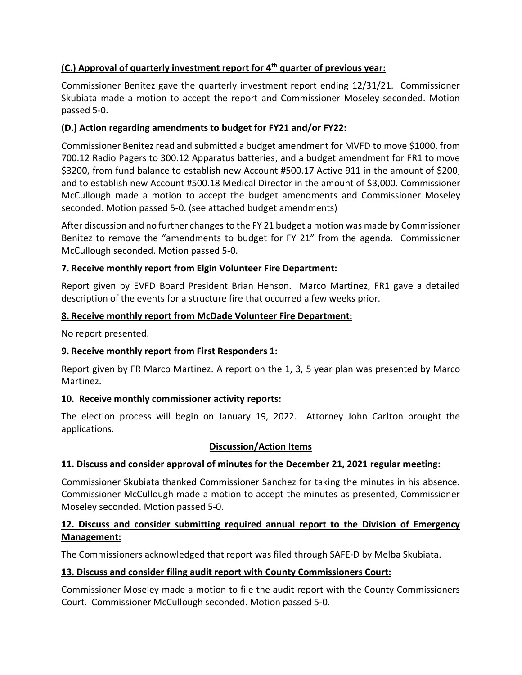# **(C.) Approval of quarterly investment report for 4th quarter of previous year:**

Commissioner Benitez gave the quarterly investment report ending 12/31/21. Commissioner Skubiata made a motion to accept the report and Commissioner Moseley seconded. Motion passed 5-0.

## **(D.) Action regarding amendments to budget for FY21 and/or FY22:**

Commissioner Benitez read and submitted a budget amendment for MVFD to move \$1000, from 700.12 Radio Pagers to 300.12 Apparatus batteries, and a budget amendment for FR1 to move \$3200, from fund balance to establish new Account #500.17 Active 911 in the amount of \$200, and to establish new Account #500.18 Medical Director in the amount of \$3,000. Commissioner McCullough made a motion to accept the budget amendments and Commissioner Moseley seconded. Motion passed 5-0. (see attached budget amendments)

After discussion and no further changes to the FY 21 budget a motion was made by Commissioner Benitez to remove the "amendments to budget for FY 21" from the agenda. Commissioner McCullough seconded. Motion passed 5-0.

#### **7. Receive monthly report from Elgin Volunteer Fire Department:**

Report given by EVFD Board President Brian Henson. Marco Martinez, FR1 gave a detailed description of the events for a structure fire that occurred a few weeks prior.

#### **8. Receive monthly report from McDade Volunteer Fire Department:**

No report presented.

# **9. Receive monthly report from First Responders 1:**

Report given by FR Marco Martinez. A report on the 1, 3, 5 year plan was presented by Marco Martinez.

#### **10. Receive monthly commissioner activity reports:**

The election process will begin on January 19, 2022. Attorney John Carlton brought the applications.

#### **Discussion/Action Items**

# **11. Discuss and consider approval of minutes for the December 21, 2021 regular meeting:**

Commissioner Skubiata thanked Commissioner Sanchez for taking the minutes in his absence. Commissioner McCullough made a motion to accept the minutes as presented, Commissioner Moseley seconded. Motion passed 5-0.

#### **12. Discuss and consider submitting required annual report to the Division of Emergency Management:**

The Commissioners acknowledged that report was filed through SAFE-D by Melba Skubiata.

# **13. Discuss and consider filing audit report with County Commissioners Court:**

Commissioner Moseley made a motion to file the audit report with the County Commissioners Court. Commissioner McCullough seconded. Motion passed 5-0.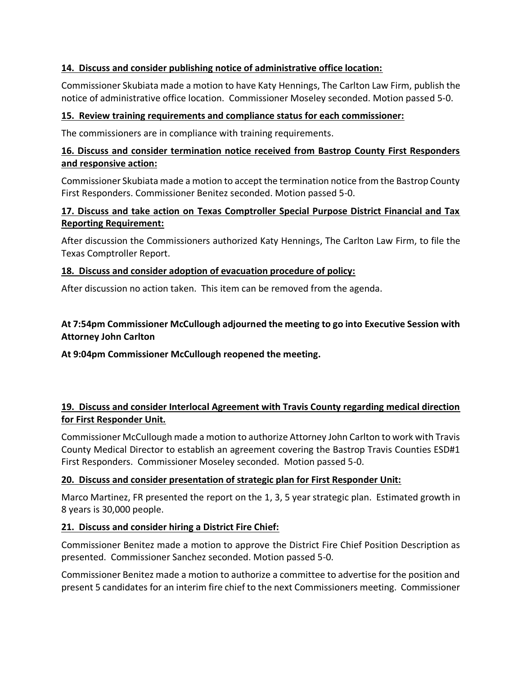### **14. Discuss and consider publishing notice of administrative office location:**

Commissioner Skubiata made a motion to have Katy Hennings, The Carlton Law Firm, publish the notice of administrative office location. Commissioner Moseley seconded. Motion passed 5-0.

#### **15. Review training requirements and compliance status for each commissioner:**

The commissioners are in compliance with training requirements.

### **16. Discuss and consider termination notice received from Bastrop County First Responders and responsive action:**

Commissioner Skubiata made a motion to accept the termination notice from the Bastrop County First Responders. Commissioner Benitez seconded. Motion passed 5-0.

## **17. Discuss and take action on Texas Comptroller Special Purpose District Financial and Tax Reporting Requirement:**

After discussion the Commissioners authorized Katy Hennings, The Carlton Law Firm, to file the Texas Comptroller Report.

#### **18. Discuss and consider adoption of evacuation procedure of policy:**

After discussion no action taken. This item can be removed from the agenda.

## **At 7:54pm Commissioner McCullough adjourned the meeting to go into Executive Session with Attorney John Carlton**

**At 9:04pm Commissioner McCullough reopened the meeting.**

## **19. Discuss and consider Interlocal Agreement with Travis County regarding medical direction for First Responder Unit.**

Commissioner McCullough made a motion to authorize Attorney John Carlton to work with Travis County Medical Director to establish an agreement covering the Bastrop Travis Counties ESD#1 First Responders. Commissioner Moseley seconded. Motion passed 5-0.

#### **20. Discuss and consider presentation of strategic plan for First Responder Unit:**

Marco Martinez, FR presented the report on the 1, 3, 5 year strategic plan. Estimated growth in 8 years is 30,000 people.

#### **21. Discuss and consider hiring a District Fire Chief:**

Commissioner Benitez made a motion to approve the District Fire Chief Position Description as presented. Commissioner Sanchez seconded. Motion passed 5-0.

Commissioner Benitez made a motion to authorize a committee to advertise for the position and present 5 candidates for an interim fire chief to the next Commissioners meeting. Commissioner